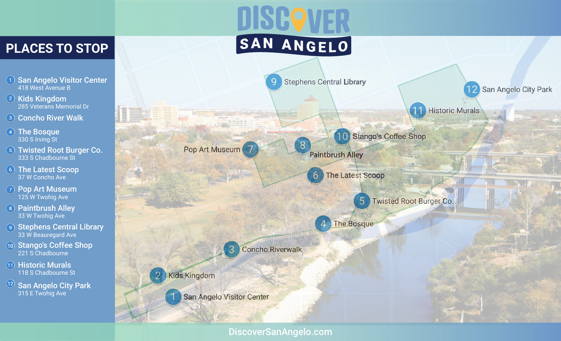## **PLACES TO STOP**

- (1) San Angelo Visitor Center 418 West Avenue B
- (2) Kids Kingdom 285 Veterans Memorial Dr
- (3) Concho River Walk
- **(4) The Bosque** 330 S Irving St
- Twisted Root Burger Co. 333 S Chadbourne St
- The Latest Scoop 37 W Concho Ave
- Pop Art Museum 125 W Twohig Ave
- Paintbrush Alley 33 W Twohig Ave
- (9) Stephens Central Library 33 W Beauregard Ave
- (10) Stango's Coffee Shop 221 S Chadbourne
- (11) Historic Murals 118 S Chadbourne St
- <sup>(12)</sup> San Angelo City Park 315 E Twohig Ave

## SAN ANGELO



DiscoverSanAngelo.com